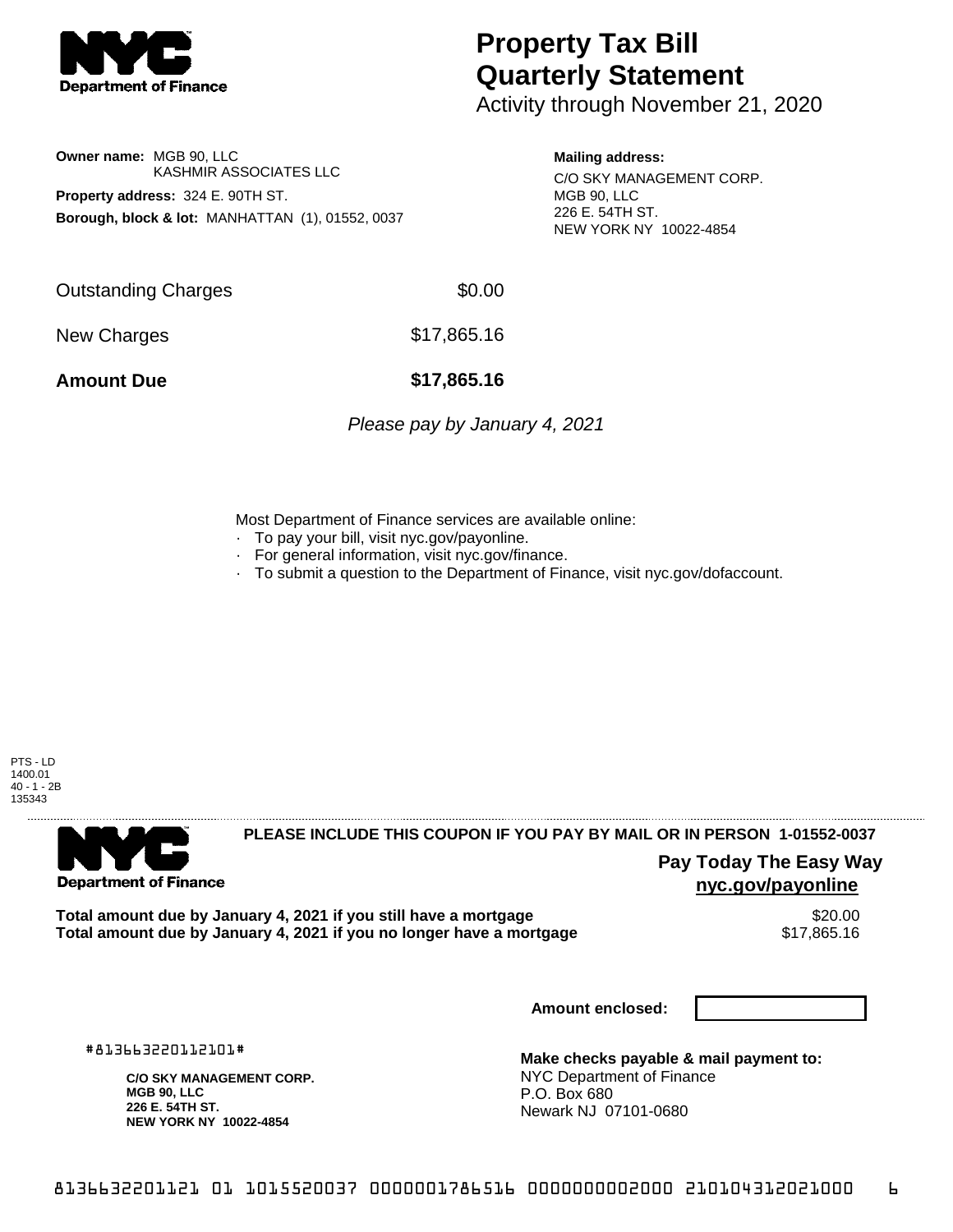

## **Property Tax Bill Quarterly Statement**

Activity through November 21, 2020

## **Owner name:** MGB 90, LLC KASHMIR ASSOCIATES LLC **Property address:** 324 E. 90TH ST. **Borough, block & lot:** MANHATTAN (1), 01552, 0037

### **Mailing address:**

C/O SKY MANAGEMENT CORP. MGB 90, LLC 226 E. 54TH ST. NEW YORK NY 10022-4854

Outstanding Charges \$0.00 New Charges \$17,865.16

**Amount Due \$17,865.16**

Please pay by January 4, 2021

Most Department of Finance services are available online:

- · To pay your bill, visit nyc.gov/payonline.
- For general information, visit nyc.gov/finance.
- · To submit a question to the Department of Finance, visit nyc.gov/dofaccount.

PTS - LD 1400.01 40 - 1 - 2B 135343



## **PLEASE INCLUDE THIS COUPON IF YOU PAY BY MAIL OR IN PERSON 1-01552-0037**

**Pay Today The Easy Way nyc.gov/payonline**

Total amount due by January 4, 2021 if you still have a mortgage **\$20.00** \$20.00<br>Total amount due by January 4, 2021 if you no longer have a mortgage \$17,865.16 Total amount due by January 4, 2021 if you no longer have a mortgage

**Amount enclosed:**

#813663220112101#

**C/O SKY MANAGEMENT CORP. MGB 90, LLC 226 E. 54TH ST. NEW YORK NY 10022-4854**

**Make checks payable & mail payment to:** NYC Department of Finance P.O. Box 680 Newark NJ 07101-0680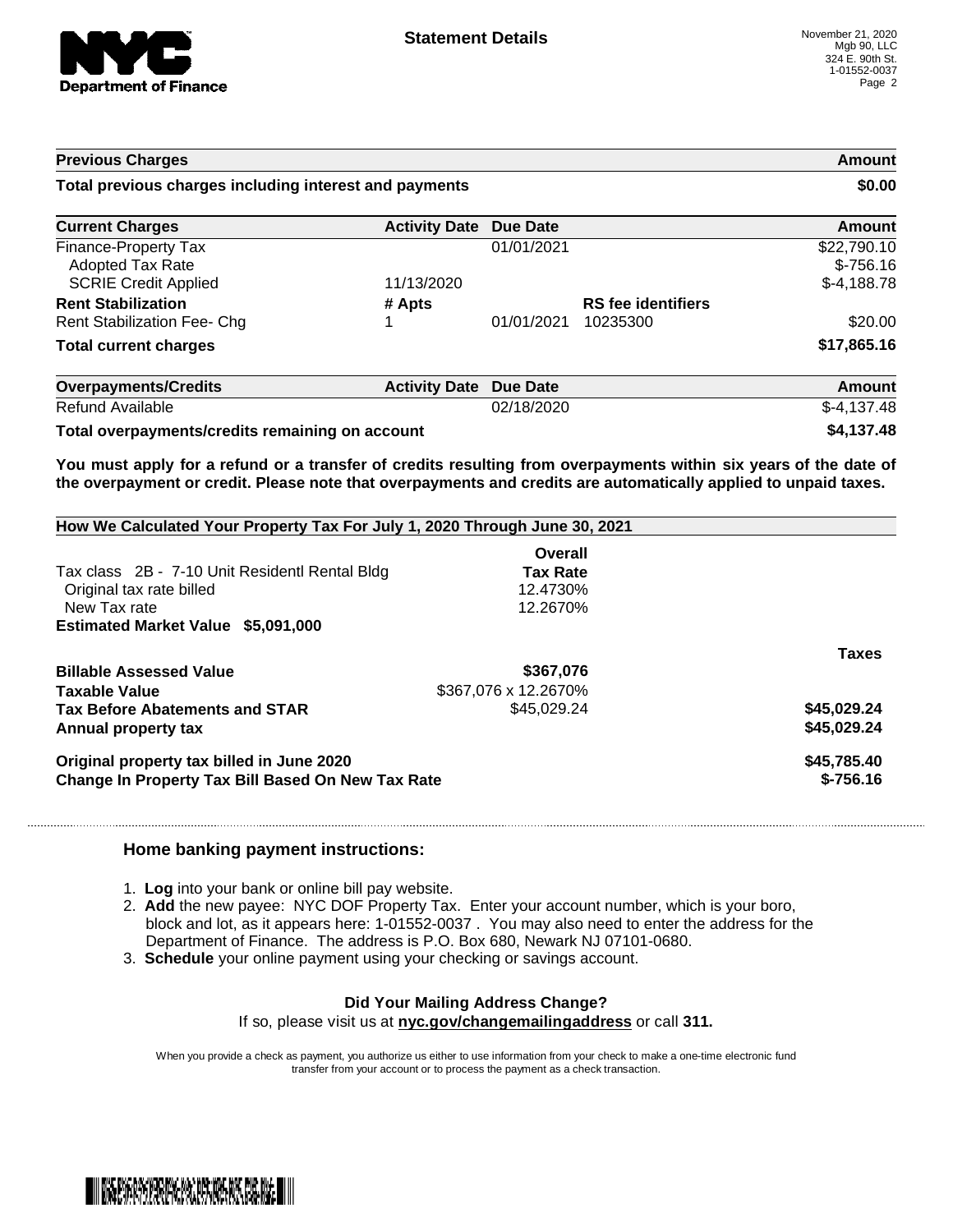

# **Previous Charges Amount Total previous charges including interest and payments \$0.00 Current Charges Activity Date Due Date Amount Amount**

| <b>Finance-Property Tax</b>                     |                      | 01/01/2021 |                           | \$22,790.10   |
|-------------------------------------------------|----------------------|------------|---------------------------|---------------|
| <b>Adopted Tax Rate</b>                         |                      |            |                           | $$-756.16$    |
| <b>SCRIE Credit Applied</b>                     | 11/13/2020           |            |                           | $$-4,188.78$  |
| <b>Rent Stabilization</b>                       | # Apts               |            | <b>RS</b> fee identifiers |               |
| <b>Rent Stabilization Fee- Chg</b>              |                      | 01/01/2021 | 10235300                  | \$20.00       |
| <b>Total current charges</b>                    |                      |            |                           | \$17,865.16   |
| <b>Overpayments/Credits</b>                     | <b>Activity Date</b> | Due Date   |                           | <b>Amount</b> |
| Refund Available                                |                      | 02/18/2020 |                           | $$-4,137.48$  |
| Total overpayments/credits remaining on account | \$4,137.48           |            |                           |               |

You must apply for a refund or a transfer of credits resulting from overpayments within six years of the date of **the overpayment or credit. Please note that overpayments and credits are automatically applied to unpaid taxes.**

| How We Calculated Your Property Tax For July 1, 2020 Through June 30, 2021 |                      |              |  |  |
|----------------------------------------------------------------------------|----------------------|--------------|--|--|
|                                                                            | Overall              |              |  |  |
| Tax class 2B - 7-10 Unit Residentl Rental Bldg                             | <b>Tax Rate</b>      |              |  |  |
| Original tax rate billed                                                   | 12.4730%             |              |  |  |
| New Tax rate                                                               | 12.2670%             |              |  |  |
| <b>Estimated Market Value \$5,091,000</b>                                  |                      |              |  |  |
|                                                                            |                      | <b>Taxes</b> |  |  |
| <b>Billable Assessed Value</b>                                             | \$367,076            |              |  |  |
| Taxable Value                                                              | \$367,076 x 12.2670% |              |  |  |
| <b>Tax Before Abatements and STAR</b>                                      | \$45,029.24          | \$45,029.24  |  |  |
| Annual property tax                                                        |                      | \$45,029.24  |  |  |
| Original property tax billed in June 2020                                  | \$45,785.40          |              |  |  |
| Change In Property Tax Bill Based On New Tax Rate                          | $$-756.16$           |              |  |  |

#### **Home banking payment instructions:**

- 1. **Log** into your bank or online bill pay website.
- 2. **Add** the new payee: NYC DOF Property Tax. Enter your account number, which is your boro, block and lot, as it appears here: 1-01552-0037 . You may also need to enter the address for the Department of Finance. The address is P.O. Box 680, Newark NJ 07101-0680.
- 3. **Schedule** your online payment using your checking or savings account.

#### **Did Your Mailing Address Change?** If so, please visit us at **nyc.gov/changemailingaddress** or call **311.**

When you provide a check as payment, you authorize us either to use information from your check to make a one-time electronic fund